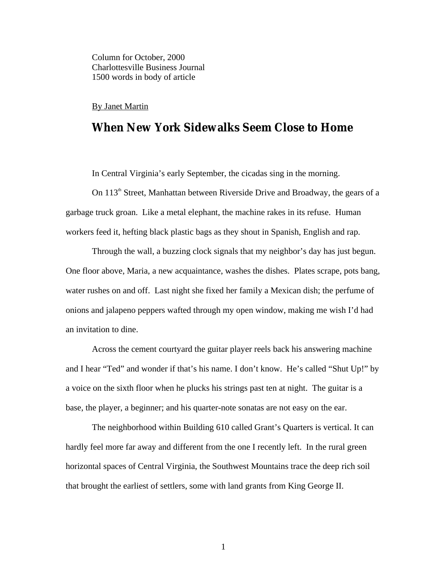Column for October, 2000 Charlottesville Business Journal 1500 words in body of article

## By Janet Martin

## **When New York Sidewalks Seem Close to Home**

In Central Virginia's early September, the cicadas sing in the morning.

On 113<sup>th</sup> Street, Manhattan between Riverside Drive and Broadway, the gears of a garbage truck groan. Like a metal elephant, the machine rakes in its refuse. Human workers feed it, hefting black plastic bags as they shout in Spanish, English and rap.

Through the wall, a buzzing clock signals that my neighbor's day has just begun. One floor above, Maria, a new acquaintance, washes the dishes. Plates scrape, pots bang, water rushes on and off. Last night she fixed her family a Mexican dish; the perfume of onions and jalapeno peppers wafted through my open window, making me wish I'd had an invitation to dine.

Across the cement courtyard the guitar player reels back his answering machine and I hear "Ted" and wonder if that's his name. I don't know. He's called "Shut Up!" by a voice on the sixth floor when he plucks his strings past ten at night. The guitar is a base, the player, a beginner; and his quarter-note sonatas are not easy on the ear.

 The neighborhood within Building 610 called Grant's Quarters is vertical. It can hardly feel more far away and different from the one I recently left. In the rural green horizontal spaces of Central Virginia, the Southwest Mountains trace the deep rich soil that brought the earliest of settlers, some with land grants from King George II.

1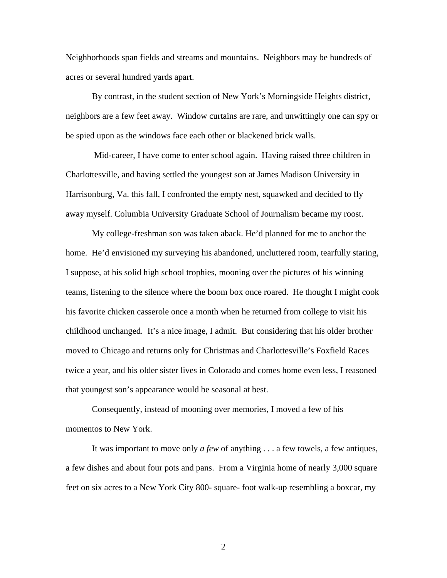Neighborhoods span fields and streams and mountains. Neighbors may be hundreds of acres or several hundred yards apart.

By contrast, in the student section of New York's Morningside Heights district, neighbors are a few feet away. Window curtains are rare, and unwittingly one can spy or be spied upon as the windows face each other or blackened brick walls.

 Mid-career, I have come to enter school again. Having raised three children in Charlottesville, and having settled the youngest son at James Madison University in Harrisonburg, Va. this fall, I confronted the empty nest, squawked and decided to fly away myself. Columbia University Graduate School of Journalism became my roost.

My college-freshman son was taken aback. He'd planned for me to anchor the home. He'd envisioned my surveying his abandoned, uncluttered room, tearfully staring, I suppose, at his solid high school trophies, mooning over the pictures of his winning teams, listening to the silence where the boom box once roared. He thought I might cook his favorite chicken casserole once a month when he returned from college to visit his childhood unchanged. It's a nice image, I admit. But considering that his older brother moved to Chicago and returns only for Christmas and Charlottesville's Foxfield Races twice a year, and his older sister lives in Colorado and comes home even less, I reasoned that youngest son's appearance would be seasonal at best.

Consequently, instead of mooning over memories, I moved a few of his momentos to New York.

 It was important to move only *a few* of anything . . . a few towels, a few antiques, a few dishes and about four pots and pans. From a Virginia home of nearly 3,000 square feet on six acres to a New York City 800- square- foot walk-up resembling a boxcar, my

2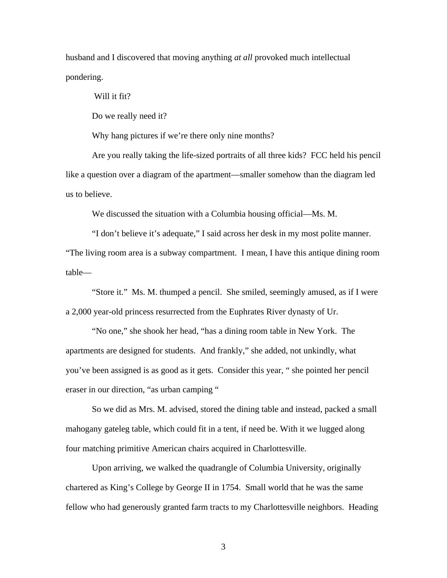husband and I discovered that moving anything *at all* provoked much intellectual pondering.

Will it fit?

Do we really need it?

Why hang pictures if we're there only nine months?

Are you really taking the life-sized portraits of all three kids? FCC held his pencil like a question over a diagram of the apartment—smaller somehow than the diagram led us to believe.

We discussed the situation with a Columbia housing official—Ms. M.

 "I don't believe it's adequate," I said across her desk in my most polite manner. "The living room area is a subway compartment. I mean, I have this antique dining room table—

 "Store it." Ms. M. thumped a pencil. She smiled, seemingly amused, as if I were a 2,000 year-old princess resurrected from the Euphrates River dynasty of Ur.

 "No one," she shook her head, "has a dining room table in New York. The apartments are designed for students. And frankly," she added, not unkindly, what you've been assigned is as good as it gets. Consider this year, " she pointed her pencil eraser in our direction, "as urban camping "

So we did as Mrs. M. advised, stored the dining table and instead, packed a small mahogany gateleg table, which could fit in a tent, if need be. With it we lugged along four matching primitive American chairs acquired in Charlottesville.

Upon arriving, we walked the quadrangle of Columbia University, originally chartered as King's College by George II in 1754. Small world that he was the same fellow who had generously granted farm tracts to my Charlottesville neighbors. Heading

3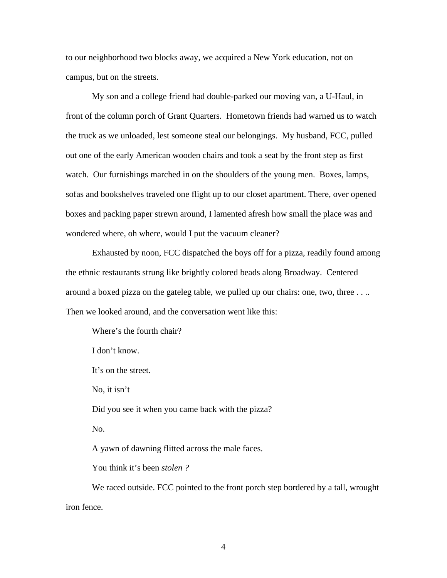to our neighborhood two blocks away, we acquired a New York education, not on campus, but on the streets.

 My son and a college friend had double-parked our moving van, a U-Haul, in front of the column porch of Grant Quarters. Hometown friends had warned us to watch the truck as we unloaded, lest someone steal our belongings. My husband, FCC, pulled out one of the early American wooden chairs and took a seat by the front step as first watch. Our furnishings marched in on the shoulders of the young men. Boxes, lamps, sofas and bookshelves traveled one flight up to our closet apartment. There, over opened boxes and packing paper strewn around, I lamented afresh how small the place was and wondered where, oh where, would I put the vacuum cleaner?

Exhausted by noon, FCC dispatched the boys off for a pizza, readily found among the ethnic restaurants strung like brightly colored beads along Broadway. Centered around a boxed pizza on the gateleg table, we pulled up our chairs: one, two, three . . .. Then we looked around, and the conversation went like this:

Where's the fourth chair?

I don't know.

It's on the street.

No, it isn't

Did you see it when you came back with the pizza?

No.

A yawn of dawning flitted across the male faces.

You think it's been *stolen ?*

We raced outside. FCC pointed to the front porch step bordered by a tall, wrought iron fence.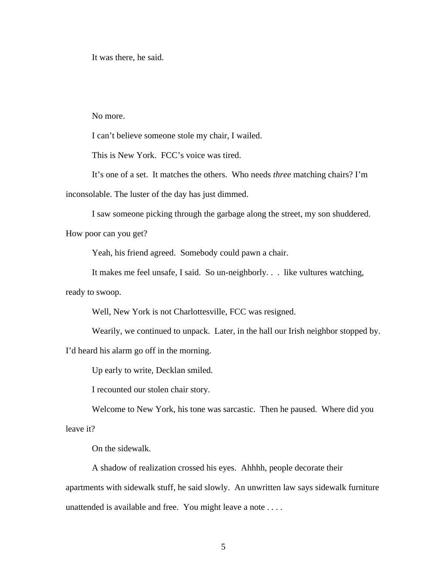It was there, he said.

## No more.

I can't believe someone stole my chair, I wailed.

This is New York. FCC's voice was tired.

It's one of a set. It matches the others. Who needs *three* matching chairs? I'm

inconsolable. The luster of the day has just dimmed.

I saw someone picking through the garbage along the street, my son shuddered.

How poor can you get?

Yeah, his friend agreed. Somebody could pawn a chair.

It makes me feel unsafe, I said. So un-neighborly. . . like vultures watching,

ready to swoop.

Well, New York is not Charlottesville, FCC was resigned.

Wearily, we continued to unpack. Later, in the hall our Irish neighbor stopped by.

I'd heard his alarm go off in the morning.

Up early to write, Decklan smiled.

I recounted our stolen chair story.

Welcome to New York, his tone was sarcastic. Then he paused. Where did you

leave it?

On the sidewalk.

A shadow of realization crossed his eyes. Ahhhh, people decorate their apartments with sidewalk stuff, he said slowly. An unwritten law says sidewalk furniture unattended is available and free. You might leave a note . . . .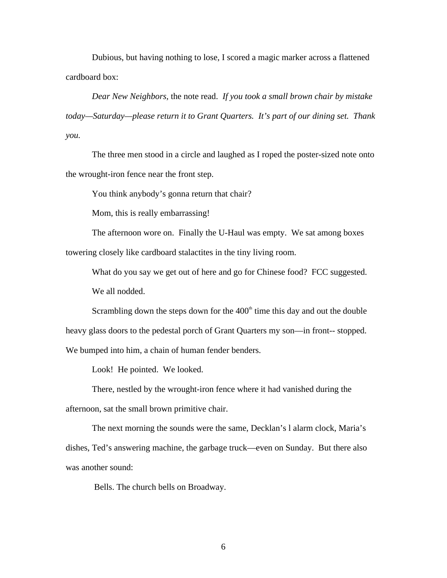Dubious, but having nothing to lose, I scored a magic marker across a flattened cardboard box:

*Dear New Neighbors,* the note read. *If you took a small brown chair by mistake today—Saturday—please return it to Grant Quarters. It's part of our dining set. Thank you.* 

 The three men stood in a circle and laughed as I roped the poster-sized note onto the wrought-iron fence near the front step.

You think anybody's gonna return that chair?

Mom, this is really embarrassing!

The afternoon wore on. Finally the U-Haul was empty. We sat among boxes towering closely like cardboard stalactites in the tiny living room.

What do you say we get out of here and go for Chinese food? FCC suggested. We all nodded.

Scrambling down the steps down for the  $400<sup>th</sup>$  time this day and out the double heavy glass doors to the pedestal porch of Grant Quarters my son—in front-- stopped. We bumped into him, a chain of human fender benders.

Look! He pointed. We looked.

There, nestled by the wrought-iron fence where it had vanished during the afternoon, sat the small brown primitive chair.

The next morning the sounds were the same, Decklan's l alarm clock, Maria's dishes, Ted's answering machine, the garbage truck—even on Sunday. But there also was another sound:

Bells. The church bells on Broadway.